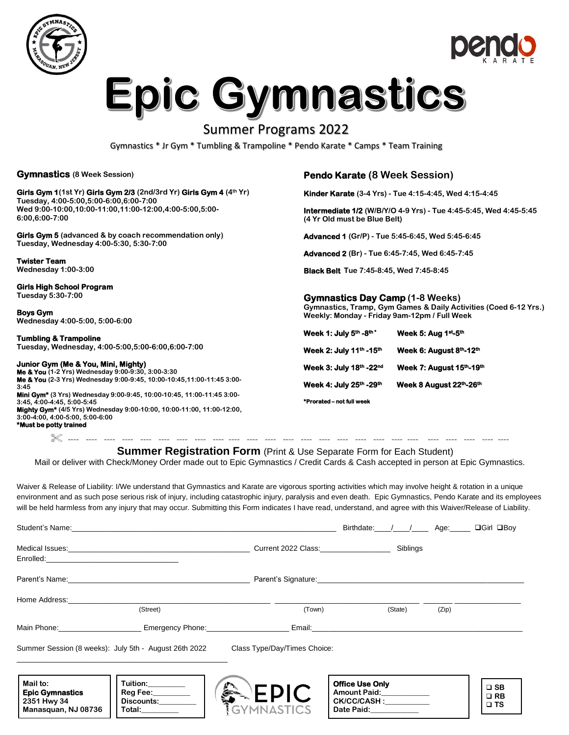



# **Epic Gymnastics**

## Summer Programs 2022

Gymnastics \* Jr Gym \* Tumbling & Trampoline \* Pendo Karate \* Camps \* Team Training

#### **Gymnastics (8 Week Session)**

#### **Girls Gym 1(1st Yr) Girls Gym 2/3 (2nd/3rd Yr) Girls Gym 4 (4th Yr) Tuesday, 4:00-5:00,5:00-6:00,6:00-7:00**

**Wed 9:00-10:00,10:00-11:00,11:00-12:00,4:00-5:00,5:00- 6:00,6:00-7:00**

**Girls Gym 5 (advanced & by coach recommendation only) Tuesday, Wednesday 4:00-5:30, 5:30-7:00**

**Twister Team Wednesday 1:00-3:00** 

#### **Girls High School Program**

**Tuesday 5:30-7:00**

**Boys Gym Wednesday 4:00-5:00, 5:00-6:00**

#### **Tumbling & Trampoline**

**Tuesday, Wednesday, 4:00-5:00,5:00-6:00,6:00-7:00**

#### **Junior Gym (Me & You, Mini, Mighty)**

**Me & You (1-2 Yrs) Wednesday 9:00-9:30, 3:00-3:30 Me & You (2-3 Yrs) Wednesday 9:00-9:45, 10:00-10:45,11:00-11:45 3:00- 3:45**

**Mini Gym\* (3 Yrs) Wednesday 9:00-9:45, 10:00-10:45, 11:00-11:45 3:00- 3:45, 4:00-4:45, 5:00-5:45 Mighty Gym\* (4/5 Yrs) Wednesday 9:00-10:00, 10:00-11:00, 11:00-12:00,**

**3:00-4:00, 4:00-5:00, 5:00-6:00 \*Must be potty trained** 

### **Pendo Karate (8 Week Session)**

**Kinder Karate (3-4 Yrs) - Tue 4:15-4:45, Wed 4:15-4:45**

**Intermediate 1/2 (W/B/Y/O 4-9 Yrs) - Tue 4:45-5:45, Wed 4:45-5:45 (4 Yr Old must be Blue Belt)**

**Advanced 1 (Gr/P) - Tue 5:45-6:45, Wed 5:45-6:45**

**Advanced 2 (Br) - Tue 6:45-7:45, Wed 6:45-7:45**

**Black Belt Tue 7:45-8:45, Wed 7:45-8:45**

#### **Gymnastics Day Camp (1-8 Weeks)**

**Gymnastics, Tramp, Gym Games & Daily Activities (Coed 6-12 Yrs.) Weekly: Monday - Friday 9am-12pm / Full Week**

| Week 1: July 5th -8th*    | Week 5: Aug 1st-5th      |
|---------------------------|--------------------------|
| Week 2: July 11th -15th   | Week 6: August 8th-12th  |
| Week 3: July 18th - 22nd  | Week 7: August 15th-19th |
| Week 4: July 25th -29th   | Week 8 August 22th-26th  |
| *Prorated – not full week |                          |

**\*Prorated – not full week** 

---- ---- ---- ---- ---- ---- ---- ---- ---- ---- ---- ---- ---- ---- ---- ---- ---- ---- ---- ---- ---- ---- ---- ---- ----

#### **Summer Registration Form** (Print & Use Separate Form for Each Student)

Mail or deliver with Check/Money Order made out to Epic Gymnastics / Credit Cards & Cash accepted in person at Epic Gymnastics.

Waiver & Release of Liability: I/We understand that Gymnastics and Karate are vigorous sporting activities which may involve height & rotation in a unique environment and as such pose serious risk of injury, including catastrophic injury, paralysis and even death. Epic Gymnastics, Pendo Karate and its employees will be held harmless from any injury that may occur. Submitting this Form indicates I have read, understand, and agree with this Waiver/Release of Liability.

|                                                                          |                                                                                  |                                         | Birthdate: / / Age:                                                                                                                                                                                                            |       | $\Box$ Girl $\Box$ Boy                       |
|--------------------------------------------------------------------------|----------------------------------------------------------------------------------|-----------------------------------------|--------------------------------------------------------------------------------------------------------------------------------------------------------------------------------------------------------------------------------|-------|----------------------------------------------|
|                                                                          |                                                                                  | Current 2022 Class: Current 2022 Class: | Siblings                                                                                                                                                                                                                       |       |                                              |
|                                                                          |                                                                                  |                                         |                                                                                                                                                                                                                                |       |                                              |
|                                                                          |                                                                                  |                                         | Parent's Signature: Management of the Contract of the Contract of the Contract of the Contract of the Contract of the Contract of the Contract of the Contract of the Contract of the Contract of the Contract of the Contract |       |                                              |
| Home Address:__________________                                          |                                                                                  |                                         |                                                                                                                                                                                                                                |       |                                              |
|                                                                          | (Street)                                                                         | (Town)                                  | (State)                                                                                                                                                                                                                        | (Zip) |                                              |
|                                                                          | Main Phone: ___________________________ Emergency Phone: _______________________ |                                         | Email: Email: Email: Email: Email: Email: Email: Email: Email: Email: Email: Email: Email: Email: Email: Email: Email: Email: Email: Email: Email: Email: Email: Email: Email: Email: Email: Email: Email: Email: Email: Email |       |                                              |
|                                                                          | Summer Session (8 weeks): July 5th - August 26th 2022                            | Class Type/Day/Times Choice:            |                                                                                                                                                                                                                                |       |                                              |
| Mail to:<br><b>Epic Gymnastics</b><br>2351 Hwy 34<br>Manasquan, NJ 08736 | Tuition:________<br>Reg Fee:________<br>Discounts:________<br>Total:________     | <b>Communication</b><br>EPIC            | <b>Office Use Only</b><br>Amount Paid:<br>CK/CC/CASH :__________<br>Date Paid: 1994                                                                                                                                            |       | $\square$ SB<br>$\square$ RB<br>$\square$ TS |